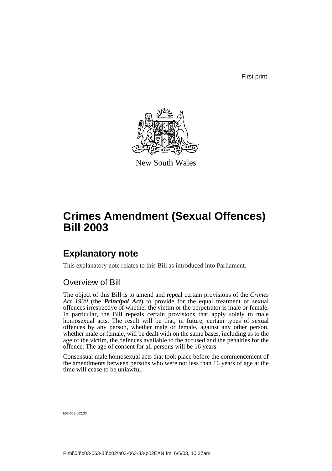First print



New South Wales

# **Crimes Amendment (Sexual Offences) Bill 2003**

# **Explanatory note**

This explanatory note relates to this Bill as introduced into Parliament.

# Overview of Bill

The object of this Bill is to amend and repeal certain provisions of the *Crimes Act 1900* (the *Principal Act*) to provide for the equal treatment of sexual offences irrespective of whether the victim or the perpetrator is male or female. In particular, the Bill repeals certain provisions that apply solely to male homosexual acts. The result will be that, in future, certain types of sexual offences by any person, whether male or female, against any other person, whether male or female, will be dealt with on the same bases, including as to the age of the victim, the defences available to the accused and the penalties for the offence. The age of consent for all persons will be 16 years.

Consensual male homosexual acts that took place before the commencement of the amendments between persons who were not less than 16 years of age at the time will cease to be unlawful.

b03-063-p02.33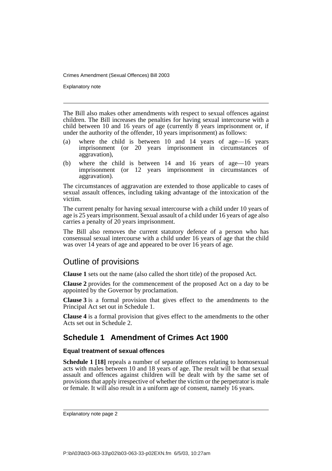Explanatory note

The Bill also makes other amendments with respect to sexual offences against children. The Bill increases the penalties for having sexual intercourse with a child between 10 and 16 years of age (currently 8 years imprisonment or, if under the authority of the offender, 10 years imprisonment) as follows:

- (a) where the child is between 10 and 14 years of age—16 years imprisonment (or 20 years imprisonment in circumstances of aggravation),
- (b) where the child is between 14 and 16 years of age—10 years imprisonment (or 12 years imprisonment in circumstances of aggravation).

The circumstances of aggravation are extended to those applicable to cases of sexual assault offences, including taking advantage of the intoxication of the victim.

The current penalty for having sexual intercourse with a child under 10 years of age is 25 years imprisonment. Sexual assault of a child under 16 years of age also carries a penalty of 20 years imprisonment.

The Bill also removes the current statutory defence of a person who has consensual sexual intercourse with a child under 16 years of age that the child was over 14 years of age and appeared to be over 16 years of age.

## Outline of provisions

**Clause 1** sets out the name (also called the short title) of the proposed Act.

**Clause 2** provides for the commencement of the proposed Act on a day to be appointed by the Governor by proclamation.

**Clause 3** is a formal provision that gives effect to the amendments to the Principal Act set out in Schedule 1.

**Clause 4** is a formal provision that gives effect to the amendments to the other Acts set out in Schedule 2.

## **Schedule 1 Amendment of Crimes Act 1900**

### **Equal treatment of sexual offences**

**Schedule 1 [18]** repeals a number of separate offences relating to homosexual acts with males between 10 and 18 years of age. The result will be that sexual assault and offences against children will be dealt with by the same set of provisions that apply irrespective of whether the victim or the perpetrator is male or female. It will also result in a uniform age of consent, namely 16 years.

Explanatory note page 2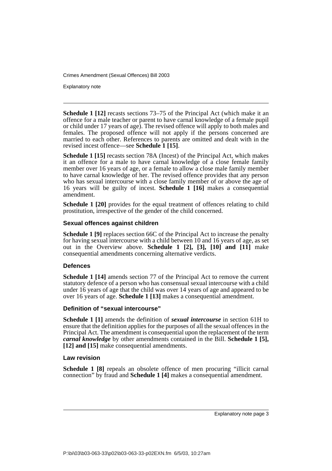Explanatory note

**Schedule 1 [12]** recasts sections 73–75 of the Principal Act (which make it an offence for a male teacher or parent to have carnal knowledge of a female pupil or child under 17 years of age). The revised offence will apply to both males and females. The proposed offence will not apply if the persons concerned are married to each other. References to parents are omitted and dealt with in the revised incest offence—see **Schedule 1 [15]**.

**Schedule 1 [15]** recasts section 78A (Incest) of the Principal Act, which makes it an offence for a male to have carnal knowledge of a close female family member over 16 years of age, or a female to allow a close male family member to have carnal knowledge of her. The revised offence provides that any person who has sexual intercourse with a close family member of or above the age of 16 years will be guilty of incest. **Schedule 1 [16]** makes a consequential amendment.

**Schedule 1 [20]** provides for the equal treatment of offences relating to child prostitution, irrespective of the gender of the child concerned.

#### **Sexual offences against children**

**Schedule 1 [9]** replaces section 66C of the Principal Act to increase the penalty for having sexual intercourse with a child between 10 and 16 years of age, as set out in the Overview above. **Schedule 1 [2], [3], [10] and [11]** make consequential amendments concerning alternative verdicts.

### **Defences**

**Schedule 1 [14]** amends section 77 of the Principal Act to remove the current statutory defence of a person who has consensual sexual intercourse with a child under 16 years of age that the child was over 14 years of age and appeared to be over 16 years of age. **Schedule 1 [13]** makes a consequential amendment.

#### **Definition of "sexual intercourse"**

**Schedule 1 [1]** amends the definition of *sexual intercourse* in section 61H to ensure that the definition applies for the purposes of all the sexual offences in the Principal Act. The amendment is consequential upon the replacement of the term *carnal knowledge* by other amendments contained in the Bill. **Schedule 1 [5], [12] and [15]** make consequential amendments.

#### **Law revision**

**Schedule 1 [8]** repeals an obsolete offence of men procuring "illicit carnal" connection" by fraud and **Schedule 1 [4]** makes a consequential amendment.

Explanatory note page 3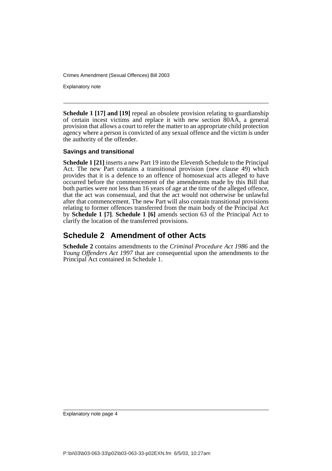Explanatory note

**Schedule 1 [17] and [19]** repeal an obsolete provision relating to guardianship of certain incest victims and replace it with new section 80AA, a general provision that allows a court to refer the matter to an appropriate child protection agency where a person is convicted of any sexual offence and the victim is under the authority of the offender.

### **Savings and transitional**

**Schedule 1 [21]** inserts a new Part 19 into the Eleventh Schedule to the Principal Act. The new Part contains a transitional provision (new clause 49) which provides that it is a defence to an offence of homosexual acts alleged to have occurred before the commencement of the amendments made by this Bill that both parties were not less than 16 years of age at the time of the alleged offence, that the act was consensual, and that the act would not otherwise be unlawful after that commencement. The new Part will also contain transitional provisions relating to former offences transferred from the main body of the Principal Act by **Schedule 1 [7]**. **Schedule 1 [6]** amends section 63 of the Principal Act to clarify the location of the transferred provisions.

## **Schedule 2 Amendment of other Acts**

**Schedule 2** contains amendments to the *Criminal Procedure Act 1986* and the *Young Offenders Act 1997* that are consequential upon the amendments to the Principal Act contained in Schedule 1.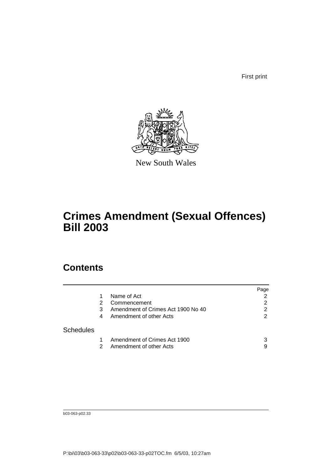First print



New South Wales

# **Crimes Amendment (Sexual Offences) Bill 2003**

# **Contents**

|                  |    |                                    | Page          |
|------------------|----|------------------------------------|---------------|
|                  |    | Name of Act                        |               |
|                  | 2  | Commencement                       | 2             |
|                  | 3  | Amendment of Crimes Act 1900 No 40 | 2             |
|                  | 4  | Amendment of other Acts            | $\mathcal{P}$ |
| <b>Schedules</b> |    |                                    |               |
|                  |    | Amendment of Crimes Act 1900       | 3             |
|                  | 2. | Amendment of other Acts            | 9             |
|                  |    |                                    |               |

b03-063-p02.33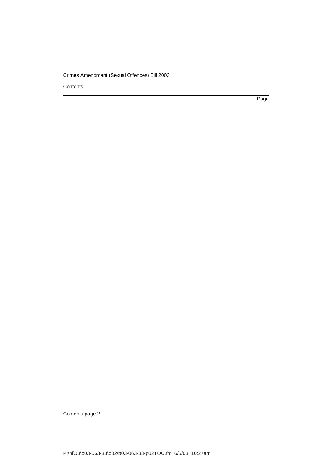**Contents** 

Page

Contents page 2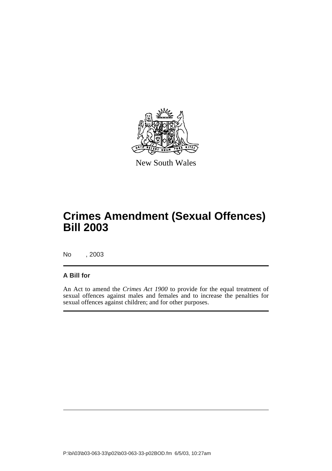

New South Wales

# **Crimes Amendment (Sexual Offences) Bill 2003**

No , 2003

### **A Bill for**

An Act to amend the *Crimes Act 1900* to provide for the equal treatment of sexual offences against males and females and to increase the penalties for sexual offences against children; and for other purposes.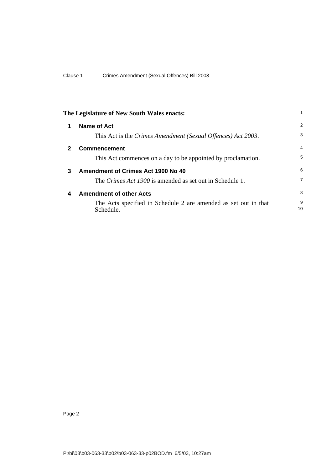<span id="page-7-3"></span><span id="page-7-2"></span><span id="page-7-1"></span><span id="page-7-0"></span>

|   | 1<br>The Legislature of New South Wales enacts:                              |         |  |  |
|---|------------------------------------------------------------------------------|---------|--|--|
| 1 | Name of Act                                                                  | 2       |  |  |
|   | This Act is the Crimes Amendment (Sexual Offences) Act 2003.                 | 3       |  |  |
| 2 | <b>Commencement</b>                                                          | 4       |  |  |
|   | This Act commences on a day to be appointed by proclamation.                 | 5       |  |  |
| 3 | Amendment of Crimes Act 1900 No 40                                           | 6       |  |  |
|   | The <i>Crimes Act 1900</i> is amended as set out in Schedule 1.              | 7       |  |  |
| 4 | <b>Amendment of other Acts</b>                                               | 8       |  |  |
|   | The Acts specified in Schedule 2 are amended as set out in that<br>Schedule. | 9<br>10 |  |  |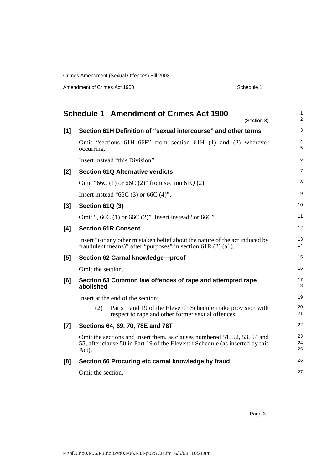Amendment of Crimes Act 1900 Schedule 1

i,

<span id="page-8-0"></span>

|       | <b>Schedule 1 Amendment of Crimes Act 1900</b><br>(Section 3)                                                                                                      | $\mathbf{1}$<br>$\overline{2}$ |
|-------|--------------------------------------------------------------------------------------------------------------------------------------------------------------------|--------------------------------|
|       |                                                                                                                                                                    | 3                              |
| $[1]$ | Section 61H Definition of "sexual intercourse" and other terms                                                                                                     |                                |
|       | Omit "sections 61H-66F" from section 61H (1) and (2) wherever<br>occurring.                                                                                        | 4<br>5                         |
|       | Insert instead "this Division".                                                                                                                                    | 6                              |
| $[2]$ | <b>Section 61Q Alternative verdicts</b>                                                                                                                            | $\overline{7}$                 |
|       | Omit "66C (1) or 66C (2)" from section 61Q (2).                                                                                                                    | 8                              |
|       | Insert instead "66C $(3)$ or 66C $(4)$ ".                                                                                                                          | 9                              |
| $[3]$ | <b>Section 61Q (3)</b>                                                                                                                                             | 10                             |
|       | Omit ", $66C(1)$ or $66C(2)$ ". Insert instead "or $66C$ ".                                                                                                        | 11                             |
| [4]   | <b>Section 61R Consent</b>                                                                                                                                         | 12                             |
|       | Insert "(or any other mistaken belief about the nature of the act induced by<br>fraudulent means)" after "purposes" in section $61R$ (2) (a1).                     | 13<br>14                       |
| [5]   | Section 62 Carnal knowledge-proof                                                                                                                                  | 15                             |
|       | Omit the section.                                                                                                                                                  | 16                             |
| [6]   | Section 63 Common law offences of rape and attempted rape<br>abolished                                                                                             | 17<br>18                       |
|       | Insert at the end of the section:                                                                                                                                  | 19                             |
|       | Parts 1 and 19 of the Eleventh Schedule make provision with<br>(2)<br>respect to rape and other former sexual offences.                                            | 20<br>21                       |
| $[7]$ | Sections 64, 69, 70, 78E and 78T                                                                                                                                   | 22                             |
|       | Omit the sections and insert them, as clauses numbered 51, 52, 53, 54 and<br>55, after clause 50 in Part 19 of the Eleventh Schedule (as inserted by this<br>Act). | 23<br>24<br>25                 |
| [8]   | Section 66 Procuring etc carnal knowledge by fraud                                                                                                                 | 26                             |
|       | Omit the section.                                                                                                                                                  | 27                             |

Page 3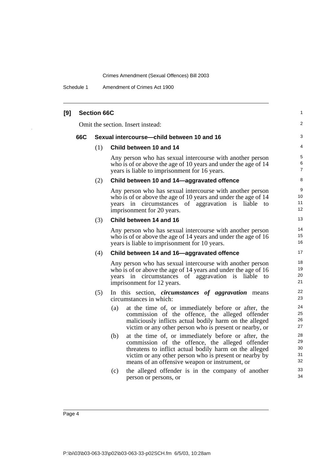Schedule 1 Amendment of Crimes Act 1900

| [9] |                                                                                                                                                                                   | <b>Section 66C</b> |                                                                                                                                                                                                                                                                                     | 1                          |
|-----|-----------------------------------------------------------------------------------------------------------------------------------------------------------------------------------|--------------------|-------------------------------------------------------------------------------------------------------------------------------------------------------------------------------------------------------------------------------------------------------------------------------------|----------------------------|
|     |                                                                                                                                                                                   |                    | Omit the section. Insert instead:                                                                                                                                                                                                                                                   | 2                          |
|     | 66C                                                                                                                                                                               |                    | Sexual intercourse-child between 10 and 16                                                                                                                                                                                                                                          | 3                          |
|     |                                                                                                                                                                                   | (1)                | Child between 10 and 14                                                                                                                                                                                                                                                             | 4                          |
|     |                                                                                                                                                                                   |                    | Any person who has sexual intercourse with another person<br>who is of or above the age of 10 years and under the age of 14<br>years is liable to imprisonment for 16 years.                                                                                                        | 5<br>6<br>$\overline{7}$   |
|     |                                                                                                                                                                                   | (2)                | Child between 10 and 14-aggravated offence                                                                                                                                                                                                                                          | 8                          |
|     |                                                                                                                                                                                   |                    | Any person who has sexual intercourse with another person<br>who is of or above the age of 10 years and under the age of 14<br>years in circumstances of aggravation is liable<br>to<br>imprisonment for 20 years.                                                                  | 9<br>10<br>11<br>12        |
|     |                                                                                                                                                                                   | (3)                | Child between 14 and 16                                                                                                                                                                                                                                                             | 13                         |
|     |                                                                                                                                                                                   |                    | Any person who has sexual intercourse with another person<br>who is of or above the age of 14 years and under the age of 16<br>years is liable to imprisonment for 10 years.                                                                                                        | 14<br>15<br>16             |
|     |                                                                                                                                                                                   | (4)                | Child between 14 and 16-aggravated offence                                                                                                                                                                                                                                          | 17                         |
|     | Any person who has sexual intercourse with another person<br>who is of or above the age of 14 years and under the age of 16<br>years in circumstances of aggravation is liable to |                    | imprisonment for 12 years.                                                                                                                                                                                                                                                          | 18<br>19<br>20<br>21       |
|     |                                                                                                                                                                                   | (5)                | In this section, <i>circumstances</i> of aggravation means<br>circumstances in which:                                                                                                                                                                                               | 22<br>23                   |
|     |                                                                                                                                                                                   |                    | at the time of, or immediately before or after, the<br>(a)<br>commission of the offence, the alleged offender<br>maliciously inflicts actual bodily harm on the alleged<br>victim or any other person who is present or nearby, or                                                  | 24<br>25<br>26<br>27       |
|     |                                                                                                                                                                                   |                    | at the time of, or immediately before or after, the<br>(b)<br>commission of the offence, the alleged offender<br>threatens to inflict actual bodily harm on the alleged<br>victim or any other person who is present or nearby by<br>means of an offensive weapon or instrument, or | 28<br>29<br>30<br>31<br>32 |
|     |                                                                                                                                                                                   |                    | the alleged offender is in the company of another<br>(c)<br>person or persons, or                                                                                                                                                                                                   | 33<br>34                   |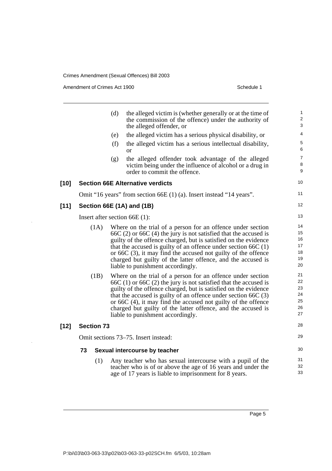Amendment of Crimes Act 1900 Schedule 1

 $\frac{1}{2}$ 

 $\ddot{\phantom{1}}$ 

|        |    |                   | (d)<br>the alleged offender, or                                      | the alleged victim is (whether generally or at the time of<br>the commission of the offence) under the authority of                                                                                                                                                                                                                                                                                          | 1<br>$\overline{2}$<br>3               |
|--------|----|-------------------|----------------------------------------------------------------------|--------------------------------------------------------------------------------------------------------------------------------------------------------------------------------------------------------------------------------------------------------------------------------------------------------------------------------------------------------------------------------------------------------------|----------------------------------------|
|        |    |                   | (e)                                                                  | the alleged victim has a serious physical disability, or                                                                                                                                                                                                                                                                                                                                                     | 4                                      |
|        |    |                   | (f)<br><sub>or</sub>                                                 | the alleged victim has a serious intellectual disability,                                                                                                                                                                                                                                                                                                                                                    | 5<br>6                                 |
|        |    |                   | (g)<br>order to commit the offence.                                  | the alleged offender took advantage of the alleged<br>victim being under the influence of alcohol or a drug in                                                                                                                                                                                                                                                                                               | $\boldsymbol{7}$<br>$\bf 8$<br>9       |
| $[10]$ |    |                   | <b>Section 66E Alternative verdicts</b>                              |                                                                                                                                                                                                                                                                                                                                                                                                              | 10                                     |
|        |    |                   | Omit "16 years" from section 66E (1) (a). Insert instead "14 years". |                                                                                                                                                                                                                                                                                                                                                                                                              | 11                                     |
| $[11]$ |    |                   | Section 66E (1A) and (1B)                                            |                                                                                                                                                                                                                                                                                                                                                                                                              | 12                                     |
|        |    |                   | Insert after section $66E(1)$ :                                      |                                                                                                                                                                                                                                                                                                                                                                                                              | 13                                     |
|        |    | (1A)              | liable to punishment accordingly.                                    | Where on the trial of a person for an offence under section<br>$66C$ (2) or $66C$ (4) the jury is not satisfied that the accused is<br>guilty of the offence charged, but is satisfied on the evidence<br>that the accused is guilty of an offence under section $66C(1)$<br>or $66C$ (3), it may find the accused not guilty of the offence<br>charged but guilty of the latter offence, and the accused is | 14<br>15<br>16<br>17<br>18<br>19<br>20 |
|        |    | (1B)              | liable to punishment accordingly.                                    | Where on the trial of a person for an offence under section<br>$66C(1)$ or $66C(2)$ the jury is not satisfied that the accused is<br>guilty of the offence charged, but is satisfied on the evidence<br>that the accused is guilty of an offence under section $66C(3)$<br>or $66C$ (4), it may find the accused not guilty of the offence<br>charged but guilty of the latter offence, and the accused is   | 21<br>22<br>23<br>24<br>25<br>26<br>27 |
| $[12]$ |    | <b>Section 73</b> |                                                                      |                                                                                                                                                                                                                                                                                                                                                                                                              | 28                                     |
|        |    |                   | Omit sections 73–75. Insert instead:                                 |                                                                                                                                                                                                                                                                                                                                                                                                              | 29                                     |
|        | 73 |                   | Sexual intercourse by teacher                                        |                                                                                                                                                                                                                                                                                                                                                                                                              | 30                                     |
|        |    | (1)               | age of 17 years is liable to imprisonment for 8 years.               | Any teacher who has sexual intercourse with a pupil of the<br>teacher who is of or above the age of 16 years and under the                                                                                                                                                                                                                                                                                   | 31<br>32<br>33                         |

Page 5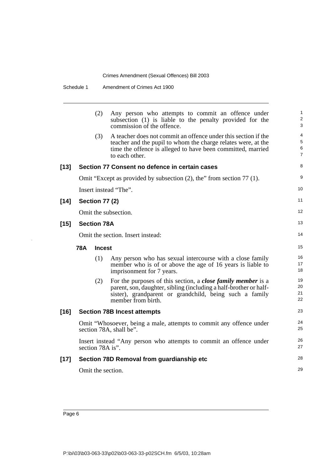|        | (2)                         | Any person who attempts to commit an offence under<br>subsection (1) is liable to the penalty provided for the<br>commission of the offence.                                                                     | $\mathbf{1}$<br>2<br>3        |
|--------|-----------------------------|------------------------------------------------------------------------------------------------------------------------------------------------------------------------------------------------------------------|-------------------------------|
|        | (3)                         | A teacher does not commit an offence under this section if the<br>teacher and the pupil to whom the charge relates were, at the<br>time the offence is alleged to have been committed, married<br>to each other. | 4<br>5<br>6<br>$\overline{7}$ |
| $[13]$ |                             | Section 77 Consent no defence in certain cases                                                                                                                                                                   | 8                             |
|        |                             | Omit "Except as provided by subsection (2), the" from section 77 (1).                                                                                                                                            | 9                             |
|        |                             | Insert instead "The".                                                                                                                                                                                            | 10 <sup>1</sup>               |
| $[14]$ | <b>Section 77 (2)</b>       |                                                                                                                                                                                                                  | 11                            |
|        |                             | Omit the subsection.                                                                                                                                                                                             | $12 \overline{ }$             |
| $[15]$ | <b>Section 78A</b>          |                                                                                                                                                                                                                  | 13                            |
|        |                             | Omit the section. Insert instead:                                                                                                                                                                                | 14                            |
|        | <b>78A</b><br><b>Incest</b> |                                                                                                                                                                                                                  | 15                            |
|        | (1)                         | Any person who has sexual intercourse with a close family<br>member who is of or above the age of 16 years is liable to<br>imprisonment for 7 years.                                                             | 16<br>17<br>18                |
|        | (2)                         | For the purposes of this section, a <i>close family member</i> is a<br>parent, son, daughter, sibling (including a half-brother or half-<br>sister), grandparent or grandchild, being such a family              | 19<br>20<br>21                |
|        |                             | member from birth.                                                                                                                                                                                               | 22                            |
| $[16]$ |                             | <b>Section 78B Incest attempts</b>                                                                                                                                                                               | 23                            |
|        |                             | Omit "Whosoever, being a male, attempts to commit any offence under<br>section 78A, shall be".                                                                                                                   | 24<br>25                      |
|        | section 78A is".            | Insert instead "Any person who attempts to commit an offence under                                                                                                                                               | 26<br>27                      |
| $[17]$ |                             | Section 78D Removal from guardianship etc                                                                                                                                                                        | 28                            |
|        | Omit the section.           |                                                                                                                                                                                                                  | 29                            |

 $\bar{z}$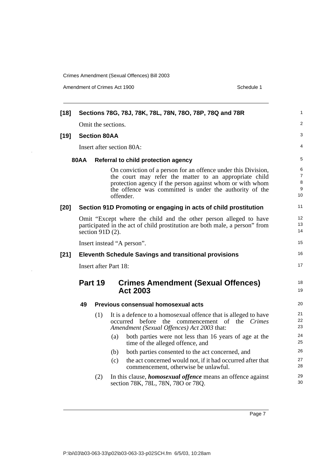Amendment of Crimes Act 1900 Schedule 1

 $\bar{z}$ 

 $\ddot{\phantom{a}}$ 

| $[18]$ |             |                     | Sections 78G, 78J, 78K, 78L, 78N, 78O, 78P, 78Q and 78R                                                                                                                                                                                                      | $\mathbf{1}$                        |
|--------|-------------|---------------------|--------------------------------------------------------------------------------------------------------------------------------------------------------------------------------------------------------------------------------------------------------------|-------------------------------------|
|        |             |                     | Omit the sections.                                                                                                                                                                                                                                           | $\overline{c}$                      |
| $[19]$ |             | <b>Section 80AA</b> |                                                                                                                                                                                                                                                              | 3                                   |
|        |             |                     | Insert after section 80A:                                                                                                                                                                                                                                    | 4                                   |
|        | <b>80AA</b> |                     | Referral to child protection agency                                                                                                                                                                                                                          | 5                                   |
|        |             |                     | On conviction of a person for an offence under this Division,<br>the court may refer the matter to an appropriate child<br>protection agency if the person against whom or with whom<br>the offence was committed is under the authority of the<br>offender. | 6<br>$\overline{7}$<br>8<br>9<br>10 |
| $[20]$ |             |                     | Section 91D Promoting or engaging in acts of child prostitution                                                                                                                                                                                              | 11                                  |
|        |             | section $91D(2)$ .  | Omit "Except where the child and the other person alleged to have<br>participated in the act of child prostitution are both male, a person" from                                                                                                             | 12<br>13<br>14                      |
|        |             |                     | Insert instead "A person".                                                                                                                                                                                                                                   | 15                                  |
| $[21]$ |             |                     | <b>Eleventh Schedule Savings and transitional provisions</b>                                                                                                                                                                                                 | 16                                  |
|        |             |                     | Insert after Part 18:                                                                                                                                                                                                                                        | 17                                  |
|        |             | Part 19             | <b>Crimes Amendment (Sexual Offences)</b><br><b>Act 2003</b>                                                                                                                                                                                                 | 18<br>19                            |
|        | 49          |                     | Previous consensual homosexual acts                                                                                                                                                                                                                          | 20                                  |
|        |             | (1)                 | It is a defence to a homosexual offence that is alleged to have<br>occurred before the commencement of the Crimes<br>Amendment (Sexual Offences) Act 2003 that:                                                                                              | 21<br>22<br>23                      |
|        |             |                     | both parties were not less than 16 years of age at the<br>(a)<br>time of the alleged offence, and                                                                                                                                                            | 24<br>25                            |
|        |             |                     | both parties consented to the act concerned, and<br>(b)                                                                                                                                                                                                      | 26                                  |
|        |             |                     | the act concerned would not, if it had occurred after that<br>(c)<br>commencement, otherwise be unlawful.                                                                                                                                                    | 27<br>28                            |
|        |             | (2)                 | In this clause, <i>homosexual offence</i> means an offence against<br>section 78K, 78L, 78N, 78O or 78Q.                                                                                                                                                     | 29<br>30                            |

Page 7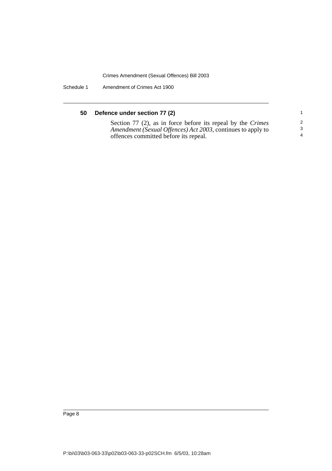Schedule 1 Amendment of Crimes Act 1900

### **50 Defence under section 77 (2)**

Section 77 (2), as in force before its repeal by the *Crimes Amendment (Sexual Offences) Act 2003*, continues to apply to offences committed before its repeal.